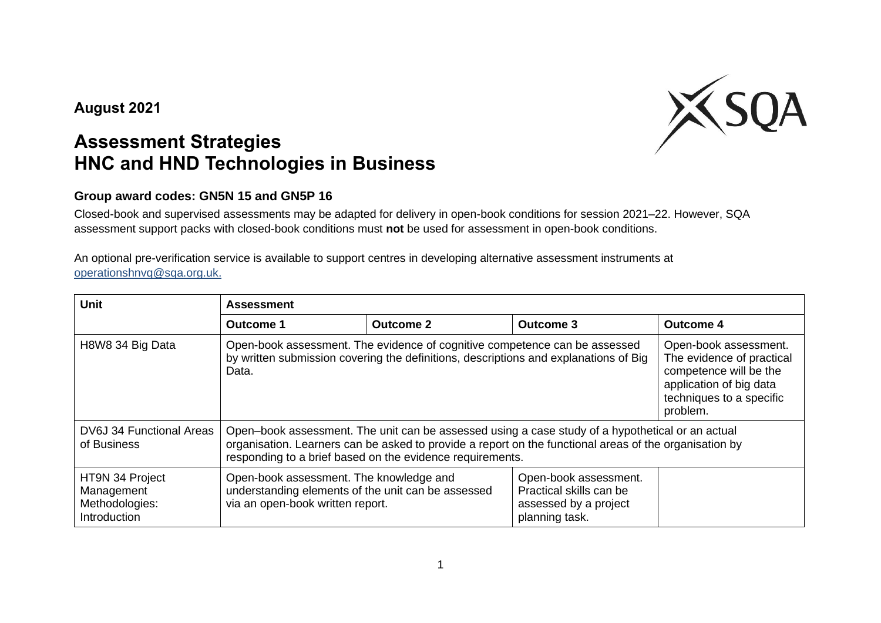## **August 2021**



## **Assessment Strategies HNC and HND Technologies in Business**

## **Group award codes: GN5N 15 and GN5P 16**

Closed-book and supervised assessments may be adapted for delivery in open-book conditions for session 2021–22. However, SQA assessment support packs with closed-book conditions must **not** be used for assessment in open-book conditions.

An optional pre-verification service is available to support centres in developing alternative assessment instruments at [operationshnvq@sqa.org.uk.](mailto:operationshnvq@sqa.org.uk)

| <b>Unit</b>                                                     | <b>Assessment</b>                                                                                                                                                                                                                                                       |                                                                                                                                                 |                                                                                             |                  |  |  |
|-----------------------------------------------------------------|-------------------------------------------------------------------------------------------------------------------------------------------------------------------------------------------------------------------------------------------------------------------------|-------------------------------------------------------------------------------------------------------------------------------------------------|---------------------------------------------------------------------------------------------|------------------|--|--|
|                                                                 | Outcome 1                                                                                                                                                                                                                                                               | <b>Outcome 2</b>                                                                                                                                | <b>Outcome 3</b>                                                                            | <b>Outcome 4</b> |  |  |
| H8W8 34 Big Data                                                | Open-book assessment. The evidence of cognitive competence can be assessed<br>by written submission covering the definitions, descriptions and explanations of Big<br>Data.                                                                                             | Open-book assessment.<br>The evidence of practical<br>competence will be the<br>application of big data<br>techniques to a specific<br>problem. |                                                                                             |                  |  |  |
| DV6J 34 Functional Areas<br>of Business                         | Open-book assessment. The unit can be assessed using a case study of a hypothetical or an actual<br>organisation. Learners can be asked to provide a report on the functional areas of the organisation by<br>responding to a brief based on the evidence requirements. |                                                                                                                                                 |                                                                                             |                  |  |  |
| HT9N 34 Project<br>Management<br>Methodologies:<br>Introduction | Open-book assessment. The knowledge and<br>understanding elements of the unit can be assessed<br>via an open-book written report.                                                                                                                                       |                                                                                                                                                 | Open-book assessment.<br>Practical skills can be<br>assessed by a project<br>planning task. |                  |  |  |